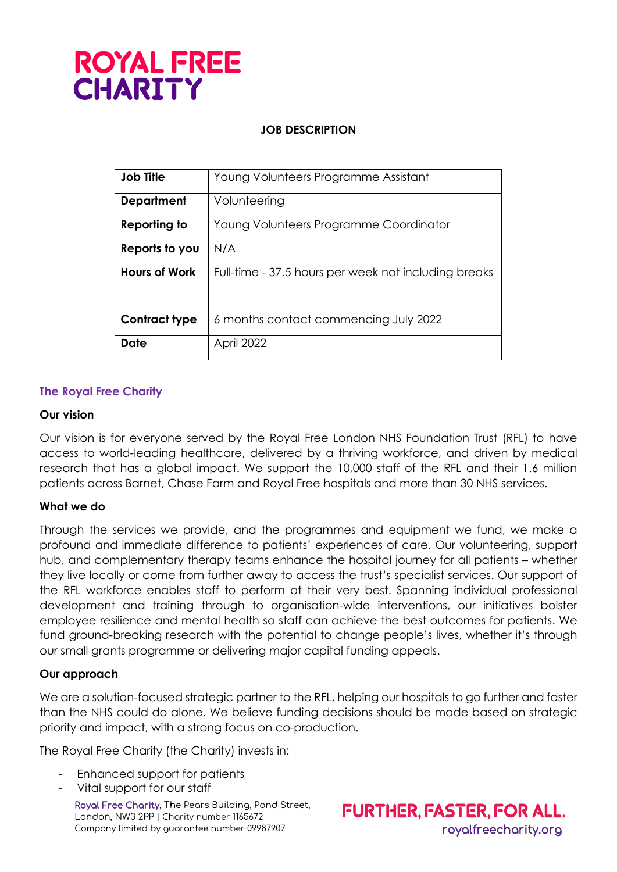# **ROYAL FREE CHARITY**

# **JOB DESCRIPTION**

| <b>Job Title</b>     | Young Volunteers Programme Assistant                 |
|----------------------|------------------------------------------------------|
| <b>Department</b>    | Volunteering                                         |
| Reporting to         | Young Volunteers Programme Coordinator               |
| Reports to you       | N/A                                                  |
| <b>Hours of Work</b> | Full-time - 37.5 hours per week not including breaks |
| <b>Contract type</b> | 6 months contact commencing July 2022                |
| Date                 | April 2022                                           |

## **The Royal Free Charity**

## **Our vision**

Our vision is for everyone served by the Royal Free London NHS Foundation Trust (RFL) to have access to world-leading healthcare, delivered by a thriving workforce, and driven by medical research that has a global impact. We support the 10,000 staff of the RFL and their 1.6 million patients across Barnet, Chase Farm and Royal Free hospitals and more than 30 NHS services.

## **What we do**

Through the services we provide, and the programmes and equipment we fund, we make a profound and immediate difference to patients' experiences of care. Our volunteering, support hub, and complementary therapy teams enhance the hospital journey for all patients – whether they live locally or come from further away to access the trust's specialist services. Our support of the RFL workforce enables staff to perform at their very best. Spanning individual professional development and training through to organisation-wide interventions, our initiatives bolster employee resilience and mental health so staff can achieve the best outcomes for patients. We fund ground-breaking research with the potential to change people's lives, whether it's through our small grants programme or delivering major capital funding appeals.

## **Our approach**

We are a solution-focused strategic partner to the RFL, helping our hospitals to go further and faster than the NHS could do alone. We believe funding decisions should be made based on strategic priority and impact, with a strong focus on co-production.

The Royal Free Charity (the Charity) invests in:

- Enhanced support for patients
- Vital support for our staff

Royal Free Charity, The Pears Building, Pond Street, London, NW3 2PP | Charity number 1165672 Company limited by guarantee number 09987907 royalfreecharity.org

FURTHER, FASTER, FOR ALL.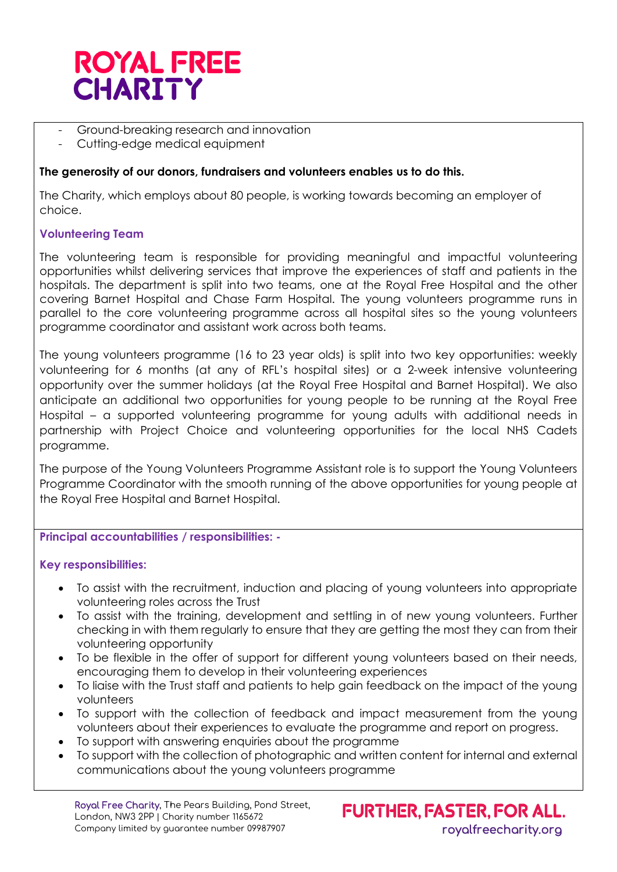

- Ground-breaking research and innovation
- Cutting-edge medical equipment

### **The generosity of our donors, fundraisers and volunteers enables us to do this.**

The Charity, which employs about 80 people, is working towards becoming an employer of choice.

### **Volunteering Team**

The volunteering team is responsible for providing meaningful and impactful volunteering opportunities whilst delivering services that improve the experiences of staff and patients in the hospitals. The department is split into two teams, one at the Royal Free Hospital and the other covering Barnet Hospital and Chase Farm Hospital. The young volunteers programme runs in parallel to the core volunteering programme across all hospital sites so the young volunteers programme coordinator and assistant work across both teams.

The young volunteers programme (16 to 23 year olds) is split into two key opportunities: weekly volunteering for 6 months (at any of RFL's hospital sites) or a 2-week intensive volunteering opportunity over the summer holidays (at the Royal Free Hospital and Barnet Hospital). We also anticipate an additional two opportunities for young people to be running at the Royal Free Hospital – a supported volunteering programme for young adults with additional needs in partnership with Project Choice and volunteering opportunities for the local NHS Cadets programme.

The purpose of the Young Volunteers Programme Assistant role is to support the Young Volunteers Programme Coordinator with the smooth running of the above opportunities for young people at the Royal Free Hospital and Barnet Hospital.

#### **Principal accountabilities / responsibilities: -**

#### **Key responsibilities:**

- To assist with the recruitment, induction and placing of young volunteers into appropriate volunteering roles across the Trust
- To assist with the training, development and settling in of new young volunteers. Further checking in with them regularly to ensure that they are getting the most they can from their volunteering opportunity
- To be flexible in the offer of support for different young volunteers based on their needs, encouraging them to develop in their volunteering experiences
- To liaise with the Trust staff and patients to help gain feedback on the impact of the young volunteers
- To support with the collection of feedback and impact measurement from the young volunteers about their experiences to evaluate the programme and report on progress.
- To support with answering enquiries about the programme
- To support with the collection of photographic and written content for internal and external communications about the young volunteers programme

Royal Free Charity, The Pears Building, Pond Street, London, NW3 2PP | Charity number 1165672 Company limited by guarantee number 09987907 royalfreecharity.org

**FURTHER, FASTER, FOR ALL.**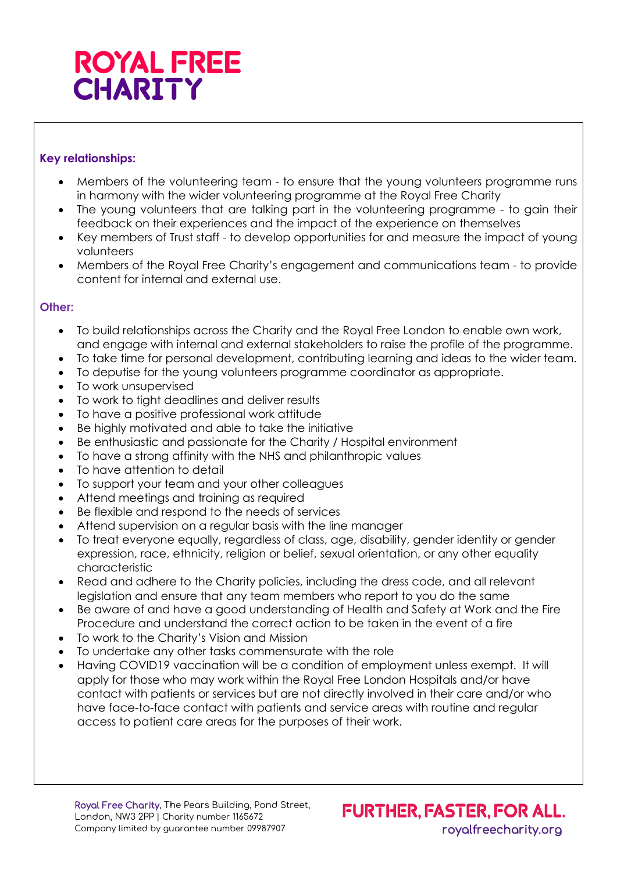# **ROYAL FREE CHARITY**

# **Key relationships:**

- Members of the volunteering team to ensure that the young volunteers programme runs in harmony with the wider volunteering programme at the Royal Free Charity
- The young volunteers that are talking part in the volunteering programme to gain their feedback on their experiences and the impact of the experience on themselves
- Key members of Trust staff to develop opportunities for and measure the impact of young volunteers
- Members of the Royal Free Charity's engagement and communications team to provide content for internal and external use.

## **Other:**

- To build relationships across the Charity and the Royal Free London to enable own work, and engage with internal and external stakeholders to raise the profile of the programme.
- To take time for personal development, contributing learning and ideas to the wider team.
- To deputise for the young volunteers programme coordinator as appropriate.
- To work unsupervised
- To work to tight deadlines and deliver results
- To have a positive professional work attitude
- Be highly motivated and able to take the initiative
- Be enthusiastic and passionate for the Charity / Hospital environment
- To have a strong affinity with the NHS and philanthropic values
- To have attention to detail
- To support your team and your other colleagues
- Attend meetings and training as required
- Be flexible and respond to the needs of services
- Attend supervision on a regular basis with the line manager
- To treat everyone equally, regardless of class, age, disability, gender identity or gender expression, race, ethnicity, religion or belief, sexual orientation, or any other equality characteristic
- Read and adhere to the Charity policies, including the dress code, and all relevant legislation and ensure that any team members who report to you do the same
- Be aware of and have a good understanding of Health and Safety at Work and the Fire Procedure and understand the correct action to be taken in the event of a fire
- To work to the Charity's Vision and Mission
- To undertake any other tasks commensurate with the role
- Having COVID19 vaccination will be a condition of employment unless exempt. It will apply for those who may work within the Royal Free London Hospitals and/or have contact with patients or services but are not directly involved in their care and/or who have face-to-face contact with patients and service areas with routine and regular access to patient care areas for the purposes of their work.

**FURTHER, FASTER, FOR ALL.**